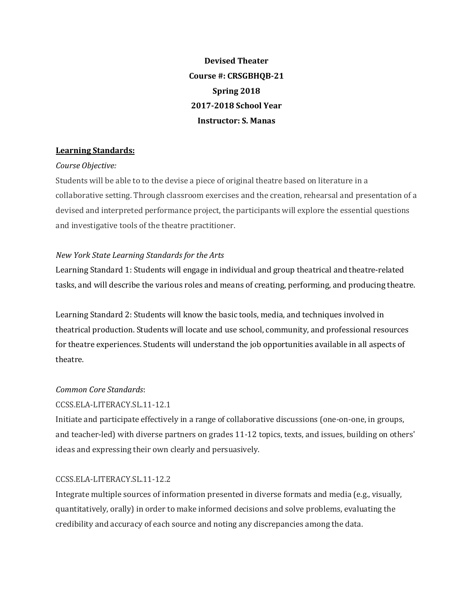**Devised Theater Course #: CRSGBHQB-21 Spring 2018 2017-2018 School Year Instructor: S. Manas**

# **Learning Standards:**

## *Course Objective:*

Students will be able to to the devise a piece of original theatre based on literature in a collaborative setting. Through classroom exercises and the creation, rehearsal and presentation of a devised and interpreted performance project, the participants will explore the essential questions and investigative tools of the theatre practitioner.

# *New York State Learning Standards for the Arts*

Learning Standard 1: Students will engage in individual and group theatrical and theatre-related tasks, and will describe the various roles and means of creating, performing, and producing theatre.

Learning Standard 2: Students will know the basic tools, media, and techniques involved in theatrical production. Students will locate and use school, community, and professional resources for theatre experiences. Students will understand the job opportunities available in all aspects of theatre. 

# *Common Core Standards*:

# CCSS.ELA-LITERACY.SL.11-12.1

Initiate and participate effectively in a range of collaborative discussions (one-on-one, in groups, and teacher-led) with diverse partners on grades 11-12 topics, texts, and issues, building on others' ideas and expressing their own clearly and persuasively.

# CCSS.ELA-LITERACY.SL.11-12.2

Integrate multiple sources of information presented in diverse formats and media (e.g., visually, quantitatively, orally) in order to make informed decisions and solve problems, evaluating the credibility and accuracy of each source and noting any discrepancies among the data.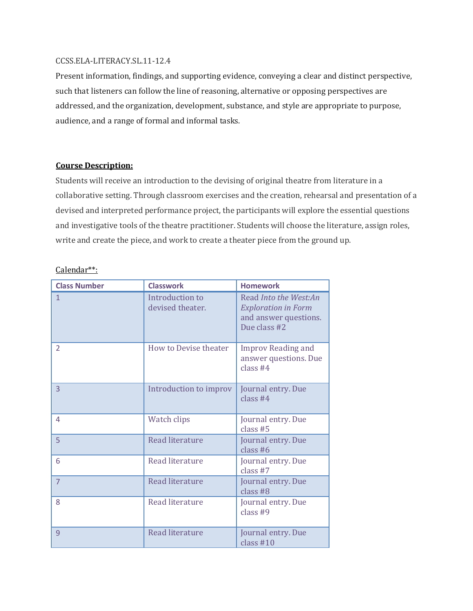### CCSS.ELA-LITERACY.SL.11-12.4

Present information, findings, and supporting evidence, conveying a clear and distinct perspective, such that listeners can follow the line of reasoning, alternative or opposing perspectives are addressed, and the organization, development, substance, and style are appropriate to purpose, audience, and a range of formal and informal tasks.

## **Course Description:**

Students will receive an introduction to the devising of original theatre from literature in a collaborative setting. Through classroom exercises and the creation, rehearsal and presentation of a devised and interpreted performance project, the participants will explore the essential questions and investigative tools of the theatre practitioner. Students will choose the literature, assign roles, write and create the piece, and work to create a theater piece from the ground up.

## Calendar\*\*:

| <b>Class Number</b> | <b>Classwork</b>                    | <b>Homework</b>                                                                              |
|---------------------|-------------------------------------|----------------------------------------------------------------------------------------------|
| $\mathbf{1}$        | Introduction to<br>devised theater. | Read Into the West:An<br><b>Exploration in Form</b><br>and answer questions.<br>Due class #2 |
| $\mathcal{P}$       | How to Devise theater               | <b>Improv Reading and</b><br>answer questions. Due<br>class #4                               |
| $\overline{3}$      | Introduction to improv              | Journal entry. Due<br>class $#4$                                                             |
| 4                   | Watch clips                         | Journal entry. Due<br>class $#5$                                                             |
| 5                   | Read literature                     | Journal entry. Due<br>class $#6$                                                             |
| 6                   | Read literature                     | Journal entry. Due<br>class $#7$                                                             |
| $\overline{7}$      | Read literature                     | Journal entry. Due<br>class $#8$                                                             |
| 8                   | Read literature                     | Journal entry. Due<br>class #9                                                               |
| 9                   | Read literature                     | Journal entry. Due<br>class $#10$                                                            |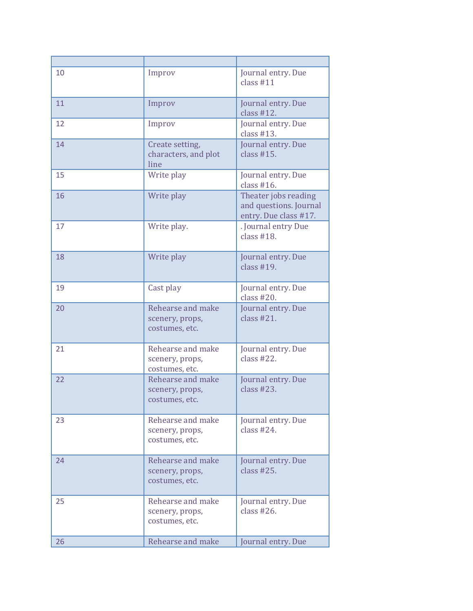| 10 | Improv                                                 | Journal entry. Due<br>class $#11$                                       |
|----|--------------------------------------------------------|-------------------------------------------------------------------------|
| 11 | Improv                                                 | Journal entry. Due<br>class $#12$ .                                     |
| 12 | Improv                                                 | Journal entry. Due<br>class $#13$ .                                     |
| 14 | Create setting,<br>characters, and plot<br>line        | Journal entry. Due<br>class $#15.$                                      |
| 15 | Write play                                             | Journal entry. Due<br>class $#16$ .                                     |
| 16 | Write play                                             | Theater jobs reading<br>and questions. Journal<br>entry. Due class #17. |
| 17 | Write play.                                            | . Journal entry Due<br>class $#18$ .                                    |
| 18 | Write play                                             | Journal entry. Due<br>class $#19$ .                                     |
| 19 | Cast play                                              | Journal entry. Due<br>class $#20$ .                                     |
| 20 | Rehearse and make<br>scenery, props,<br>costumes, etc. | Journal entry. Due<br>class $#21$ .                                     |
| 21 | Rehearse and make<br>scenery, props,<br>costumes, etc. | Journal entry. Due<br>class $#22$ .                                     |
| 22 | Rehearse and make<br>scenery, props,<br>costumes, etc. | Journal entry. Due<br>class $#23$ .                                     |
| 23 | Rehearse and make<br>scenery, props,<br>costumes, etc. | Journal entry. Due<br>class $#24$ .                                     |
| 24 | Rehearse and make<br>scenery, props,<br>costumes, etc. | Journal entry. Due<br>class $#25.$                                      |
| 25 | Rehearse and make<br>scenery, props,<br>costumes, etc. | Journal entry. Due<br>class $#26$ .                                     |
| 26 | Rehearse and make                                      | Journal entry. Due                                                      |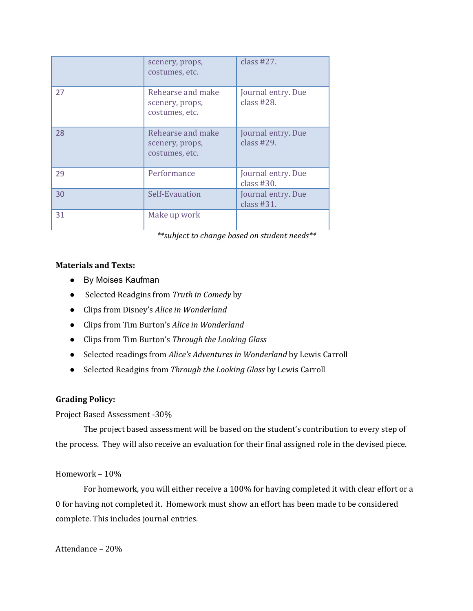|    | scenery, props,<br>costumes, etc.                      | class $#27$ .                       |
|----|--------------------------------------------------------|-------------------------------------|
| 27 | Rehearse and make<br>scenery, props,<br>costumes, etc. | Journal entry. Due<br>class $#28$ . |
| 28 | Rehearse and make<br>scenery, props,<br>costumes, etc. | Journal entry. Due<br>class $#29$ . |
| 29 | Performance                                            | Journal entry. Due<br>class $#30.$  |
| 30 | Self-Evauation                                         | Journal entry. Due<br>class $#31.$  |
| 31 | Make up work                                           |                                     |

*\*\*subject to change based on student needs\*\**

### **Materials and Texts:**

- By Moises Kaufman
- Selected Readgins from *Truth in Comedy* by
- Clips from Disney's *Alice in Wonderland*
- Clips from Tim Burton's *Alice in Wonderland*
- Clips from Tim Burton's *Through the Looking Glass*
- Selected readings from *Alice's Adventures in Wonderland* by Lewis Carroll
- Selected Readgins from *Through the Looking Glass* by Lewis Carroll

# **Grading Policy:**

### Project Based Assessment -30%

The project based assessment will be based on the student's contribution to every step of the process. They will also receive an evaluation for their final assigned role in the devised piece.

### Homework - 10%

For homework, you will either receive a 100% for having completed it with clear effort or a 0 for having not completed it. Homework must show an effort has been made to be considered complete. This includes journal entries.

Attendance – 20%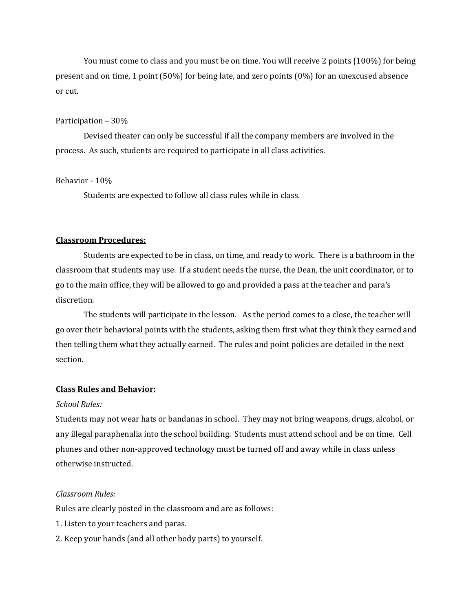You must come to class and you must be on time. You will receive 2 points (100%) for being present and on time, 1 point  $(50\%)$  for being late, and zero points  $(0\%)$  for an unexcused absence or cut.

#### Participation  $-30%$

Devised theater can only be successful if all the company members are involved in the process. As such, students are required to participate in all class activities.

#### Behavior - 10%

Students are expected to follow all class rules while in class.

#### **Classroom Procedures:**

Students are expected to be in class, on time, and ready to work. There is a bathroom in the classroom that students may use. If a student needs the nurse, the Dean, the unit coordinator, or to go to the main office, they will be allowed to go and provided a pass at the teacher and para's discretion. 

The students will participate in the lesson. As the period comes to a close, the teacher will go over their behavioral points with the students, asking them first what they think they earned and then telling them what they actually earned. The rules and point policies are detailed in the next section.

#### **Class Rules and Behavior:**

#### *School Rules:*

Students may not wear hats or bandanas in school. They may not bring weapons, drugs, alcohol, or any illegal paraphenalia into the school building. Students must attend school and be on time. Cell phones and other non-approved technology must be turned off and away while in class unless otherwise instructed.

### *Classroom Rules:*

Rules are clearly posted in the classroom and are as follows:

- 1. Listen to your teachers and paras.
- 2. Keep your hands (and all other body parts) to yourself.